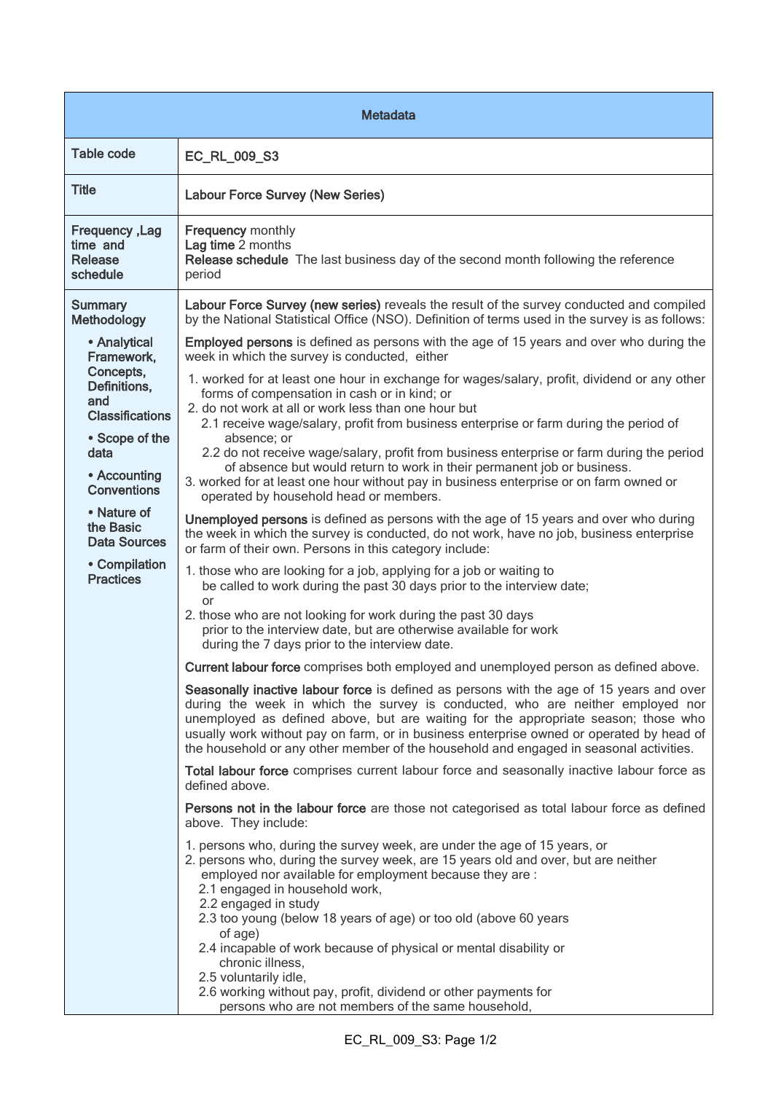| <b>Metadata</b>                                                                                                                                                                                                                                  |                                                                                                                                                                                                                                                                                                                                                                                                                                                                                                                                                                                                                                                                                                                                                                                                                                                                                                                                                                                                                                                                                                                                                                                                                                                                                                                                                                            |  |
|--------------------------------------------------------------------------------------------------------------------------------------------------------------------------------------------------------------------------------------------------|----------------------------------------------------------------------------------------------------------------------------------------------------------------------------------------------------------------------------------------------------------------------------------------------------------------------------------------------------------------------------------------------------------------------------------------------------------------------------------------------------------------------------------------------------------------------------------------------------------------------------------------------------------------------------------------------------------------------------------------------------------------------------------------------------------------------------------------------------------------------------------------------------------------------------------------------------------------------------------------------------------------------------------------------------------------------------------------------------------------------------------------------------------------------------------------------------------------------------------------------------------------------------------------------------------------------------------------------------------------------------|--|
| Table code                                                                                                                                                                                                                                       | EC_RL_009_S3                                                                                                                                                                                                                                                                                                                                                                                                                                                                                                                                                                                                                                                                                                                                                                                                                                                                                                                                                                                                                                                                                                                                                                                                                                                                                                                                                               |  |
| <b>Title</b>                                                                                                                                                                                                                                     | <b>Labour Force Survey (New Series)</b>                                                                                                                                                                                                                                                                                                                                                                                                                                                                                                                                                                                                                                                                                                                                                                                                                                                                                                                                                                                                                                                                                                                                                                                                                                                                                                                                    |  |
| <b>Frequency, Lag</b><br>time and<br><b>Release</b><br>schedule                                                                                                                                                                                  | <b>Frequency monthly</b><br>Lag time 2 months<br>Release schedule The last business day of the second month following the reference<br>period                                                                                                                                                                                                                                                                                                                                                                                                                                                                                                                                                                                                                                                                                                                                                                                                                                                                                                                                                                                                                                                                                                                                                                                                                              |  |
| <b>Summary</b><br>Methodology                                                                                                                                                                                                                    | Labour Force Survey (new series) reveals the result of the survey conducted and compiled<br>by the National Statistical Office (NSO). Definition of terms used in the survey is as follows:                                                                                                                                                                                                                                                                                                                                                                                                                                                                                                                                                                                                                                                                                                                                                                                                                                                                                                                                                                                                                                                                                                                                                                                |  |
| • Analytical<br>Framework,<br>Concepts,<br>Definitions,<br>and<br><b>Classifications</b><br>• Scope of the<br>data<br>• Accounting<br><b>Conventions</b><br>• Nature of<br>the Basic<br><b>Data Sources</b><br>• Compilation<br><b>Practices</b> | <b>Employed persons</b> is defined as persons with the age of 15 years and over who during the<br>week in which the survey is conducted, either<br>1. worked for at least one hour in exchange for wages/salary, profit, dividend or any other<br>forms of compensation in cash or in kind; or<br>2. do not work at all or work less than one hour but<br>2.1 receive wage/salary, profit from business enterprise or farm during the period of<br>absence; or<br>2.2 do not receive wage/salary, profit from business enterprise or farm during the period<br>of absence but would return to work in their permanent job or business.<br>3. worked for at least one hour without pay in business enterprise or on farm owned or<br>operated by household head or members.<br>Unemployed persons is defined as persons with the age of 15 years and over who during<br>the week in which the survey is conducted, do not work, have no job, business enterprise<br>or farm of their own. Persons in this category include:<br>1. those who are looking for a job, applying for a job or waiting to<br>be called to work during the past 30 days prior to the interview date;<br>or<br>2. those who are not looking for work during the past 30 days<br>prior to the interview date, but are otherwise available for work<br>during the 7 days prior to the interview date. |  |
|                                                                                                                                                                                                                                                  | Current labour force comprises both employed and unemployed person as defined above.                                                                                                                                                                                                                                                                                                                                                                                                                                                                                                                                                                                                                                                                                                                                                                                                                                                                                                                                                                                                                                                                                                                                                                                                                                                                                       |  |
|                                                                                                                                                                                                                                                  | Seasonally inactive labour force is defined as persons with the age of 15 years and over<br>during the week in which the survey is conducted, who are neither employed nor<br>unemployed as defined above, but are waiting for the appropriate season; those who<br>usually work without pay on farm, or in business enterprise owned or operated by head of<br>the household or any other member of the household and engaged in seasonal activities.                                                                                                                                                                                                                                                                                                                                                                                                                                                                                                                                                                                                                                                                                                                                                                                                                                                                                                                     |  |
|                                                                                                                                                                                                                                                  | Total labour force comprises current labour force and seasonally inactive labour force as<br>defined above.                                                                                                                                                                                                                                                                                                                                                                                                                                                                                                                                                                                                                                                                                                                                                                                                                                                                                                                                                                                                                                                                                                                                                                                                                                                                |  |
|                                                                                                                                                                                                                                                  | Persons not in the labour force are those not categorised as total labour force as defined<br>above. They include:                                                                                                                                                                                                                                                                                                                                                                                                                                                                                                                                                                                                                                                                                                                                                                                                                                                                                                                                                                                                                                                                                                                                                                                                                                                         |  |
|                                                                                                                                                                                                                                                  | 1. persons who, during the survey week, are under the age of 15 years, or<br>2. persons who, during the survey week, are 15 years old and over, but are neither<br>employed nor available for employment because they are :<br>2.1 engaged in household work,<br>2.2 engaged in study<br>2.3 too young (below 18 years of age) or too old (above 60 years<br>of age)<br>2.4 incapable of work because of physical or mental disability or<br>chronic illness,<br>2.5 voluntarily idle,<br>2.6 working without pay, profit, dividend or other payments for<br>persons who are not members of the same household,                                                                                                                                                                                                                                                                                                                                                                                                                                                                                                                                                                                                                                                                                                                                                            |  |